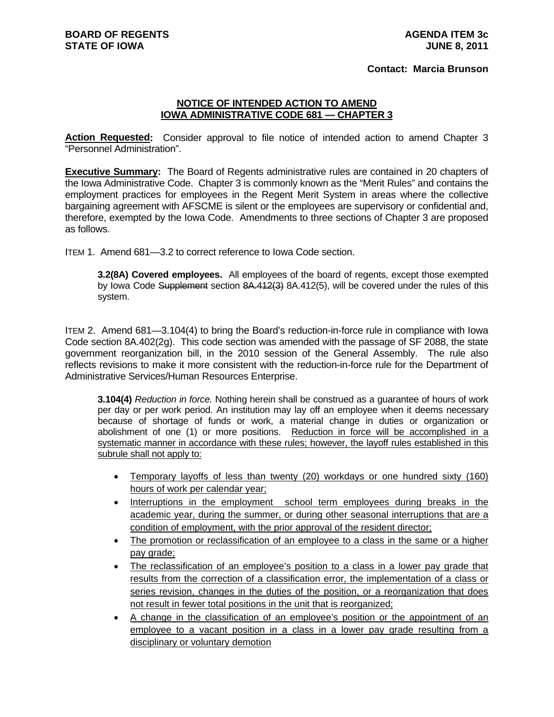## **Contact: Marcia Brunson**

## **NOTICE OF INTENDED ACTION TO AMEND IOWA ADMINISTRATIVE CODE 681 — CHAPTER 3**

Action Requested: Consider approval to file notice of intended action to amend Chapter 3 "Personnel Administration".

**Executive Summary:** The Board of Regents administrative rules are contained in 20 chapters of the Iowa Administrative Code. Chapter 3 is commonly known as the "Merit Rules" and contains the employment practices for employees in the Regent Merit System in areas where the collective bargaining agreement with AFSCME is silent or the employees are supervisory or confidential and, therefore, exempted by the Iowa Code.Amendments to three sections of Chapter 3 are proposed as follows.

ITEM 1. Amend 681—3.2 to correct reference to Iowa Code section.

**3.2(8A) Covered employees.** All employees of the board of regents, except those exempted by Iowa Code Supplement section 8A.412(3) 8A.412(5), will be covered under the rules of this system.

ITEM 2. Amend 681—3.104(4) to bring the Board's reduction-in-force rule in compliance with Iowa Code section 8A.402(2g). This code section was amended with the passage of SF 2088, the state government reorganization bill, in the 2010 session of the General Assembly. The rule also reflects revisions to make it more consistent with the reduction-in-force rule for the Department of Administrative Services/Human Resources Enterprise.

**3.104(4)** *Reduction in force.* Nothing herein shall be construed as a guarantee of hours of work per day or per work period. An institution may lay off an employee when it deems necessary because of shortage of funds or work, a material change in duties or organization or abolishment of one (1) or more positions. Reduction in force will be accomplished in a systematic manner in accordance with these rules; however, the layoff rules established in this subrule shall not apply to:

- Temporary layoffs of less than twenty (20) workdays or one hundred sixty (160) hours of work per calendar year;
- Interruptions in the employment school term employees during breaks in the academic year, during the summer, or during other seasonal interruptions that are a condition of employment, with the prior approval of the resident director;
- The promotion or reclassification of an employee to a class in the same or a higher pay grade;
- The reclassification of an employee's position to a class in a lower pay grade that results from the correction of a classification error, the implementation of a class or series revision, changes in the duties of the position, or a reorganization that does not result in fewer total positions in the unit that is reorganized;
- A change in the classification of an employee's position or the appointment of an employee to a vacant position in a class in a lower pay grade resulting from a disciplinary or voluntary demotion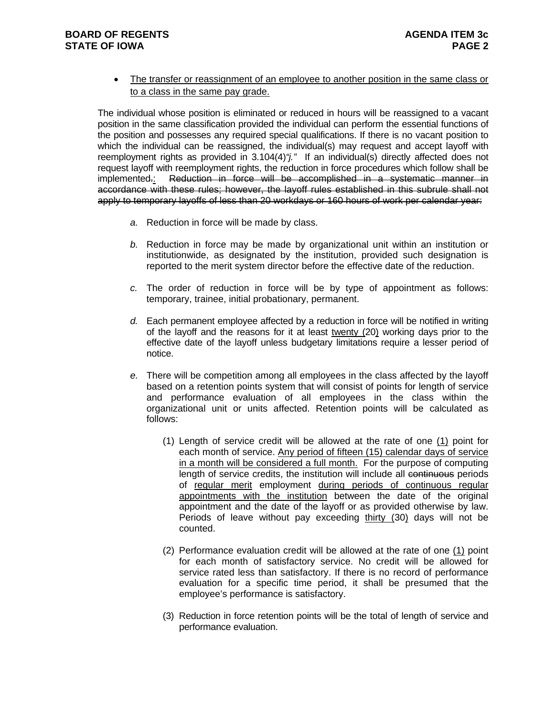## **BOARD OF REGENTS STATE OF IOWA**

 The transfer or reassignment of an employee to another position in the same class or to a class in the same pay grade.

The individual whose position is eliminated or reduced in hours will be reassigned to a vacant position in the same classification provided the individual can perform the essential functions of the position and possesses any required special qualifications. If there is no vacant position to which the individual can be reassigned, the individual(s) may request and accept layoff with reemployment rights as provided in 3.104(4)*"j."* If an individual(s) directly affected does not request layoff with reemployment rights, the reduction in force procedures which follow shall be implemented.: Reduction in force will be accomplished in a systematic manner in accordance with these rules; however, the layoff rules established in this subrule shall not apply to temporary layoffs of less than 20 workdays or 160 hours of work per calendar year:

- *a.* Reduction in force will be made by class.
- *b.* Reduction in force may be made by organizational unit within an institution or institutionwide, as designated by the institution, provided such designation is reported to the merit system director before the effective date of the reduction.
- *c.* The order of reduction in force will be by type of appointment as follows: temporary, trainee, initial probationary, permanent.
- *d.* Each permanent employee affected by a reduction in force will be notified in writing of the layoff and the reasons for it at least twenty (20) working days prior to the effective date of the layoff unless budgetary limitations require a lesser period of notice.
- *e.* There will be competition among all employees in the class affected by the layoff based on a retention points system that will consist of points for length of service and performance evaluation of all employees in the class within the organizational unit or units affected. Retention points will be calculated as follows:
	- (1) Length of service credit will be allowed at the rate of one (1) point for each month of service. Any period of fifteen (15) calendar days of service in a month will be considered a full month. For the purpose of computing length of service credits, the institution will include all continuous periods of regular merit employment during periods of continuous regular appointments with the institution between the date of the original appointment and the date of the layoff or as provided otherwise by law. Periods of leave without pay exceeding thirty (30) days will not be counted.
	- (2) Performance evaluation credit will be allowed at the rate of one (1) point for each month of satisfactory service. No credit will be allowed for service rated less than satisfactory. If there is no record of performance evaluation for a specific time period, it shall be presumed that the employee's performance is satisfactory.
	- (3) Reduction in force retention points will be the total of length of service and performance evaluation.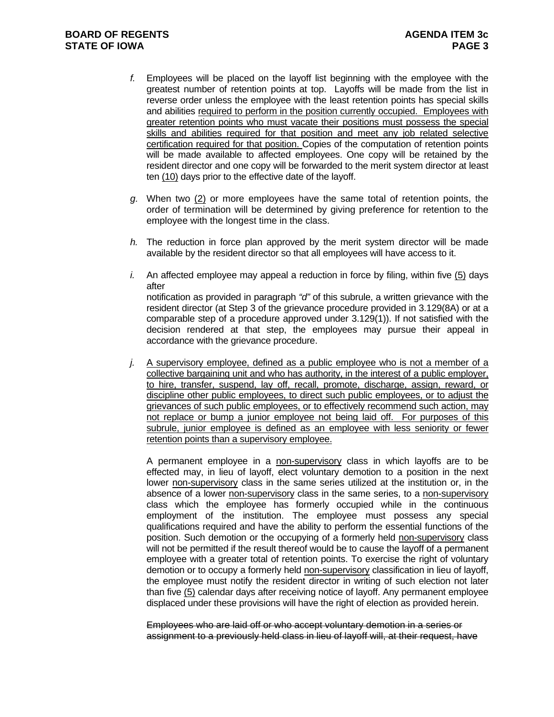- *f.* Employees will be placed on the layoff list beginning with the employee with the greatest number of retention points at top. Layoffs will be made from the list in reverse order unless the employee with the least retention points has special skills and abilities required to perform in the position currently occupied. Employees with greater retention points who must vacate their positions must possess the special skills and abilities required for that position and meet any job related selective certification required for that position. Copies of the computation of retention points will be made available to affected employees. One copy will be retained by the resident director and one copy will be forwarded to the merit system director at least ten (10) days prior to the effective date of the layoff.
- *g.* When two (2) or more employees have the same total of retention points, the order of termination will be determined by giving preference for retention to the employee with the longest time in the class.
- *h.* The reduction in force plan approved by the merit system director will be made available by the resident director so that all employees will have access to it.
- *i.* An affected employee may appeal a reduction in force by filing, within five (5) days after notification as provided in paragraph *"d"* of this subrule, a written grievance with the resident director (at Step 3 of the grievance procedure provided in 3.129(8A) or at a comparable step of a procedure approved under 3.129(1)). If not satisfied with the decision rendered at that step, the employees may pursue their appeal in accordance with the grievance procedure.
- *j.* A supervisory employee, defined as a public employee who is not a member of a collective bargaining unit and who has authority, in the interest of a public employer, to hire, transfer, suspend, lay off, recall, promote, discharge, assign, reward, or discipline other public employees, to direct such public employees, or to adjust the grievances of such public employees, or to effectively recommend such action, may not replace or bump a junior employee not being laid off. For purposes of this subrule, junior employee is defined as an employee with less seniority or fewer retention points than a supervisory employee.

A permanent employee in a non-supervisory class in which layoffs are to be effected may, in lieu of layoff, elect voluntary demotion to a position in the next lower non-supervisory class in the same series utilized at the institution or, in the absence of a lower non-supervisory class in the same series, to a non-supervisory class which the employee has formerly occupied while in the continuous employment of the institution. The employee must possess any special qualifications required and have the ability to perform the essential functions of the position. Such demotion or the occupying of a formerly held non-supervisory class will not be permitted if the result thereof would be to cause the layoff of a permanent employee with a greater total of retention points. To exercise the right of voluntary demotion or to occupy a formerly held non-supervisory classification in lieu of layoff, the employee must notify the resident director in writing of such election not later than five (5) calendar days after receiving notice of layoff. Any permanent employee displaced under these provisions will have the right of election as provided herein.

Employees who are laid off or who accept voluntary demotion in a series or assignment to a previously held class in lieu of layoff will, at their request, have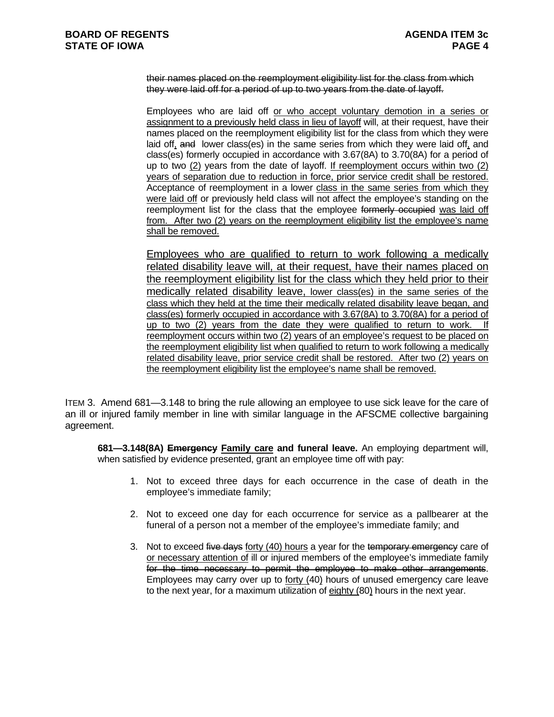their names placed on the reemployment eligibility list for the class from which they were laid off for a period of up to two years from the date of layoff.

Employees who are laid off or who accept voluntary demotion in a series or assignment to a previously held class in lieu of layoff will, at their request, have their names placed on the reemployment eligibility list for the class from which they were laid off, and lower class(es) in the same series from which they were laid off, and class(es) formerly occupied in accordance with 3.67(8A) to 3.70(8A) for a period of up to two (2) years from the date of layoff. If reemployment occurs within two (2) years of separation due to reduction in force, prior service credit shall be restored. Acceptance of reemployment in a lower class in the same series from which they were laid off or previously held class will not affect the employee's standing on the reemployment list for the class that the employee formerly occupied was laid off from. After two (2) years on the reemployment eligibility list the employee's name shall be removed.

Employees who are qualified to return to work following a medically related disability leave will, at their request, have their names placed on the reemployment eligibility list for the class which they held prior to their medically related disability leave, lower class(es) in the same series of the class which they held at the time their medically related disability leave began, and class(es) formerly occupied in accordance with 3.67(8A) to 3.70(8A) for a period of up to two (2) years from the date they were qualified to return to work. If reemployment occurs within two (2) years of an employee's request to be placed on the reemployment eligibility list when qualified to return to work following a medically related disability leave, prior service credit shall be restored. After two (2) years on the reemployment eligibility list the employee's name shall be removed.

ITEM 3. Amend 681—3.148 to bring the rule allowing an employee to use sick leave for the care of an ill or injured family member in line with similar language in the AFSCME collective bargaining agreement.

**681—3.148(8A) Emergency Family care and funeral leave.** An employing department will, when satisfied by evidence presented, grant an employee time off with pay:

- 1. Not to exceed three days for each occurrence in the case of death in the employee's immediate family;
- 2. Not to exceed one day for each occurrence for service as a pallbearer at the funeral of a person not a member of the employee's immediate family; and
- 3. Not to exceed five days forty (40) hours a year for the temporary emergency care of or necessary attention of ill or injured members of the employee's immediate family for the time necessary to permit the employee to make other arrangements. Employees may carry over up to forty (40) hours of unused emergency care leave to the next year, for a maximum utilization of eighty (80) hours in the next year.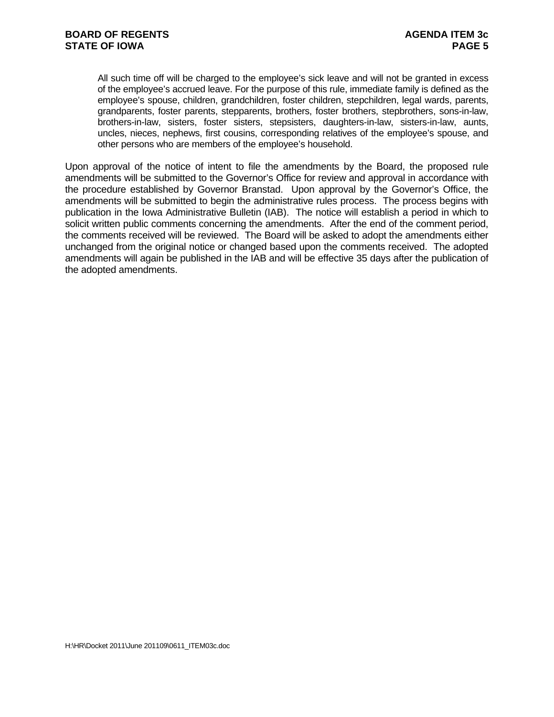All such time off will be charged to the employee's sick leave and will not be granted in excess of the employee's accrued leave. For the purpose of this rule, immediate family is defined as the employee's spouse, children, grandchildren, foster children, stepchildren, legal wards, parents, grandparents, foster parents, stepparents, brothers, foster brothers, stepbrothers, sons-in-law, brothers-in-law, sisters, foster sisters, stepsisters, daughters-in-law, sisters-in-law, aunts, uncles, nieces, nephews, first cousins, corresponding relatives of the employee's spouse, and other persons who are members of the employee's household.

Upon approval of the notice of intent to file the amendments by the Board, the proposed rule amendments will be submitted to the Governor's Office for review and approval in accordance with the procedure established by Governor Branstad. Upon approval by the Governor's Office, the amendments will be submitted to begin the administrative rules process. The process begins with publication in the Iowa Administrative Bulletin (IAB). The notice will establish a period in which to solicit written public comments concerning the amendments. After the end of the comment period, the comments received will be reviewed. The Board will be asked to adopt the amendments either unchanged from the original notice or changed based upon the comments received. The adopted amendments will again be published in the IAB and will be effective 35 days after the publication of the adopted amendments.